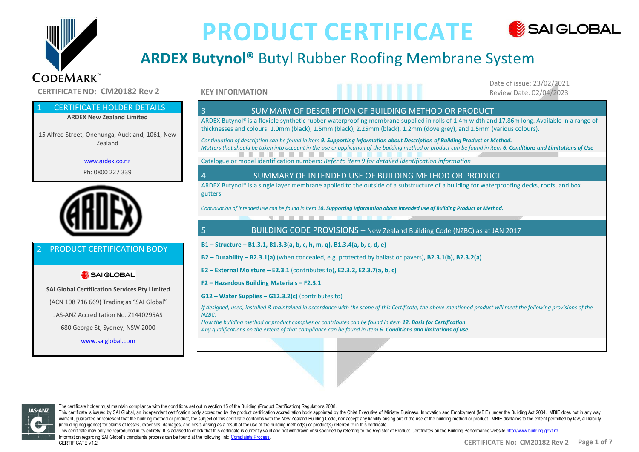

# **ARDEX Butynol®** Butyl Rubber Roofing Membrane System

**CERTIFICATE NO: CM20182 Rev 2** 

### **CERTIFICATE HOLDER DETAILS**

**ARDEX New Zealand Limited**

15 Alfred Street, Onehunga, Auckland, 1061, New Zealand

www.ardex.co.nz

Ph: 0800 227 339



### PRODUCT CERTIFICATION BODY

### SAI GLOBAL

**SAI Global Certification Services Pty Limited** (ACN 108 716 669) Trading as "SAI Global" JAS-ANZ Accreditation No. Z1440295AS 680 George St, Sydney, NSW 2000

#### www.saiglobal.com

#### **KEY INFORMATION**

Date of issue: 23/02/2021

### 3 SUMMARY OF DESCRIPTION OF BUILDING METHOD OR PRODUCT

ARDEX Butynol® is a flexible synthetic rubber waterproofing membrane supplied in rolls of 1.4m width and 17.86m long. Available in a range of thicknesses and colours: 1.0mm (black), 1.5mm (black), 2.25mm (black), 1.2mm (dove grey), and 1.5mm (various colours).

 *Continuation of description can be found in item 9. Supporting Information about Description of Building Product or Method. Matters that should be taken into account in the use or application of the building method or product can be found in item 6. Conditions and Limitations of Use*

Catalogue or model identification numbers: *Refer to item 9 for detailed identification information*

#### 4 SUMMARY OF INTENDED USE OF BUILDING METHOD OR PRODUCT

ARDEX Butynol® is a single layer membrane applied to the outside of a substructure of a building for waterproofing decks, roofs, and box gutters.

*Continuation of intended use can be found in item 10. Supporting Information about Intended use of Building Product or Method.*

#### 5 BUILDING CODE PROVISIONS – New Zealand Building Code (NZBC) as at JAN 2017

**B1 – Structure – B1.3.1, B1.3.3(a, b, c, h, m, q), B1.3.4(a, b, c, d, e)**

the company's company's com-

- **B2 – Durability – B2.3.1(a)** (when concealed, e.g. protected by ballast or pavers)**, B2.3.1(b), B2.3.2(a)**
- **E2 – External Moisture – E2.3.1** (contributes to)**, E2.3.2, E2.3.7(a, b, c)**
- **F2 – Hazardous Building Materials – F2.3.1**
- **G12 – Water Supplies – G12.3.2(c)** (contributes to)

*If designed, used, installed & maintained in accordance with the scope of this Certificate, the above-mentioned product will meet the following provisions of the NZBC.*

*How the building method or product complies or contributes can be found in item 12. Basis for Certification. Any qualifications on the extent of that compliance can be found in item 6. Conditions and limitations of use.*



CERTIFICATE V1.2

The certificate holder must maintain compliance with the conditions set out in section 15 of the Building (Product Certification) Regulations 2008. This certificate is issued by SAI Global, an independent certification body accredited by the product certification accreditation accreditation body appointed by the Chief Executive of Ministry Business, Innovation and Emp warrant, guarantee or represent that the building method or product, the subject of this certificate conforms with the New Zealand Building Code, nor accept any liability arising out of the use of the building method or pr (including negligence) for claims of losses, expenses, damages, and costs arising as a result of the use of the building method(s) or product(s) referred to in this certificate. This certificate may only be reproduced in its entirety. It is advised to check that this certificate is currently valid and not withdrawn or suspended by referring to the Register of Product Certificates on the Ruilding P Information regarding SAI Global's complaints process can be found at the following link: Complaints Process.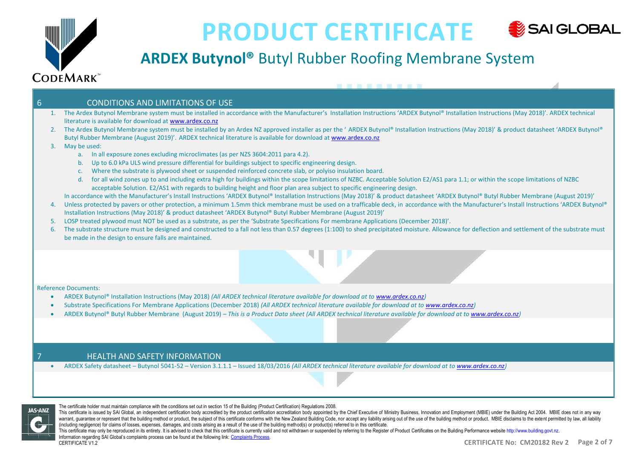

# **ARDEX Butynol®** Butyl Rubber Roofing Membrane System

#### 6 CONDITIONS AND LIMITATIONS OF USE

- 1. The Ardex Butynol Membrane system must be installed in accordance with the Manufacturer's Installation Instructions 'ARDEX Butynol® Installation Instructions (May 2018)'. ARDEX technical literature is available for download at www.ardex.co.nz
- 2. The Ardex Butynol Membrane system must be installed by an Ardex NZ approved installer as per the 'ARDEX Butynol® Installation Instructions (May 2018)' & product datasheet 'ARDEX Butynol® Butyl Rubber Membrane (August 2019)'. ARDEX technical literature is available for download at www.ardex.co.nz
- 3. May be used:
	- a. In all exposure zones excluding microclimates (as per NZS 3604:2011 para 4.2).
	- b. Up to 6.0 kPa ULS wind pressure differential for buildings subject to specific engineering design.
	- c. Where the substrate is plywood sheet or suspended reinforced concrete slab, or polyiso insulation board.
	- d. for all wind zones up to and including extra high for buildings within the scope limitations of NZBC. Acceptable Solution E2/AS1 para 1.1; or within the scope limitations of NZBC acceptable Solution. E2/AS1 with regards to building height and floor plan area subject to specific engineering design.
- In accordance with the Manufacturer's Install Instructions 'ARDEX Butynol® Installation Instructions (May 2018)' & product datasheet 'ARDEX Butynol® Butyl Rubber Membrane (August 2019)'
- 4. Unless protected by pavers or other protection, a minimum 1.5mm thick membrane must be used on a trafficable deck, in accordance with the Manufacturer's Install Instructions 'ARDEX Butynol® Installation Instructions (May 2018)' & product datasheet 'ARDEX Butynol® Butyl Rubber Membrane (August 2019)'
- 5. LOSP treated plywood must NOT be used as a substrate, as per the 'Substrate Specifications For membrane Applications (December 2018)'.
- 6. The substrate structure must be designed and constructed to a fall not less than 0.57 degrees (1:100) to shed precipitated moisture. Allowance for deflection and settlement of the substrate must be made in the design to ensure falls are maintained.

#### Reference Documents:

- ARDEX Butynol® Installation Instructions (May 2018) *(All ARDEX technical literature available for download at to www.ardex.co.nz)*
- Substrate Specifications For Membrane Applications (December 2018) *(All ARDEX technical literature available for download at to www.ardex.co.nz)*
- ARDEX Butynol® Butyl Rubber Membrane (August 2019) *– This is a Product Data sheet (All ARDEX technical literature available for download at to www.ardex.co.nz)*

#### **HEALTH AND SAFETY INFORMATION**

• ARDEX Safety datasheet – Butynol 5041-52 – Version 3.1.1.1 – Issued 18/03/2016 *(All ARDEX technical literature available for download at to www.ardex.co.nz)*



The certificate holder must maintain compliance with the conditions set out in section 15 of the Building (Product Certification) Regulations 2008.

This certificate is issued by SAI Global, an independent certification body accredited by the product certification accreditation accreditation body appointed by the Chief Executive of Ministry Business, Innovation and Emp warrant, guarantee or represent that the building method or product, the subject of this certificate conforms with the New Zealand Building Code, nor accept any liability arising out of the use of the building method or pr (including negligence) for claims of losses, expenses, damages, and costs arising as a result of the use of the building method(s) or product(s) referred to in this certificate.

This certificate may only be reproduced in its entirety. It is advised to check that this certificate is currently valid and not withdrawn or suspended by referring to the Register of Product Certificates on the Ruilding P Information regarding SAI Global's complaints process can be found at the following link: Complaints Process. CERTIFICATE V1.2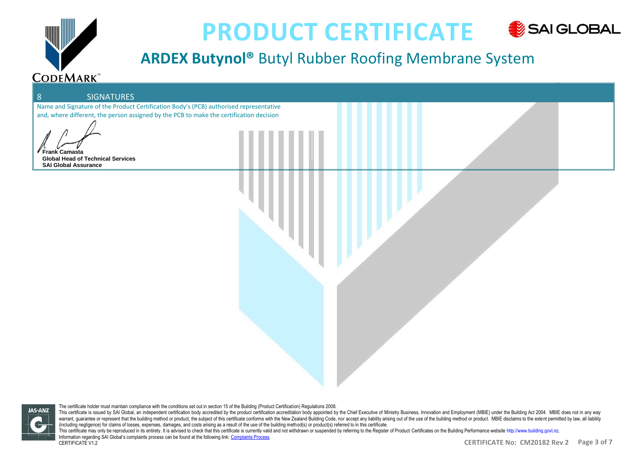

# **ARDEX Butynol®** Butyl Rubber Roofing Membrane System

# 8 SIGNATURES Name and Signature of the Product Certification Body's (PCB) authorised representative and, where different, the person assigned by the PCB to make the certification decision **Camasta Global Head of Technical Services SAI Global Assurance**

**JAS-ANZ** 

The certificate holder must maintain compliance with the conditions set out in section 15 of the Building (Product Certification) Regulations 2008. This certificate is issued by SAI Global, an independent certification body accredited by the product certification accreditation accreditation body appointed by the Chief Executive of Ministry Business, Innovation and Emp warrant, guarantee or represent that the building method or product, the subject of this certificate conforms with the New Zealand Building Code, nor accept any liability arising out of the use of the building method or pr (including negligence) for claims of losses, expenses, damages, and costs arising as a result of the use of the building method(s) or product(s) referred to in this certificate. This certificate may only be reproduced in its entirety. It is advised to check that this certificate is currently valid and not withdrawn or suspended by referring to the Register of Product Certificates on the Ruilding P Information regarding SAI Global's complaints process can be found at the following link: Complaints Process. CERTIFICATE V1.2 **CERTIFICATE No: CM20182 Rev 2 Page 3 of 7**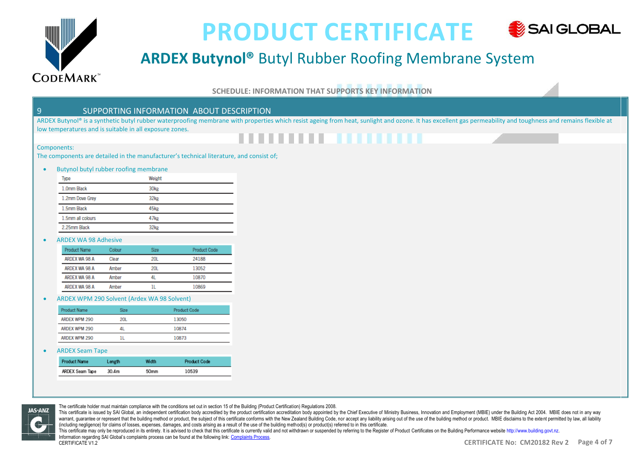

Components:

## **PRODUCT CERTIFICATE** SAI GLOBAL

# **ARDEX Butynol®** Butyl Rubber Roofing Membrane System

#### **SCHEDULE: INFORMATION THAT SUPPORTS KEY INFORMATION**

#### 9 SUPPORTING INFORMATION ABOUT DESCRIPTION

ARDEX Butynol® is a synthetic butyl rubber waterproofing membrane with properties which resist ageing from heat, sunlight and ozone. It has excellent gas permeability and toughness and remains flexible at low temperatures and is suitable in all exposure zones.

# **. . . . . . . . . . . . . .**

#### The components are detailed in the manufacturer's technical literature, and consist of;

#### • Butynol butyl rubber roofing membrane

| Type              | Weight           |
|-------------------|------------------|
| 1.0mm Black       | 30 <sub>kg</sub> |
| 1.2mm Dove Grey   | 32kg             |
| 1.5mm Black       | 45kg             |
| 1.5mm all colours | 47kg             |
| 2.25mm Black      | 32kg             |

#### • ARDEX WA 98 Adhesive

| Product Name  | Colour | Size: | Product Code |
|---------------|--------|-------|--------------|
| ARDEX WA 98 A | Clear  | 201   | 24188        |
| ARDEX WA 98 A | Amber  | 201   | 13052        |
| ARDEX WA 98 A | Amher  | 41    | 10870        |
| ARDEX WA 98 A | Amher  |       | 10869        |
|               |        |       |              |

#### • ARDEX WPM 290 Solvent (Ardex WA 98 Solvent)

| <b>Product Name</b> | Size       | <b>Product Code</b> |
|---------------------|------------|---------------------|
| ARDEX WPM 290       | <b>20L</b> | 13050               |
| ARDEX WPM 290       |            | 10874               |
| ARDEX WPM 290       |            | 10873               |
|                     |            |                     |

#### • ARDEX Seam Tape

| <b>Product Name</b> | Length | Width | <b>Product Code</b> |
|---------------------|--------|-------|---------------------|
| ARDEX Seam Tape     | 30.4m  | 50mm  | 10539               |



The certificate holder must maintain compliance with the conditions set out in section 15 of the Building (Product Certification) Regulations 2008.

This certificate is issued by SAI Global, an independent certification body accredited by the product certification accreditation accreditation body appointed by the Chief Executive of Ministry Business, Innovation and Emp warrant, guarantee or represent that the building method or product, the subject of this certificate conforms with the New Zealand Building Code, nor accept any liability arising out of the use of the building method or pr (including negligence) for claims of losses, expenses, damages, and costs arising as a result of the use of the building method(s) or product(s) referred to in this certificate.

This certificate may only be reproduced in its entirety. It is advised to check that this certificate is currently valid and not withdrawn or suspended by referring to the Register of Product Certificates on the Ruilding P Information regarding SAI Global's complaints process can be found at the following link: Complaints Process.

CERTIFICATE V1.2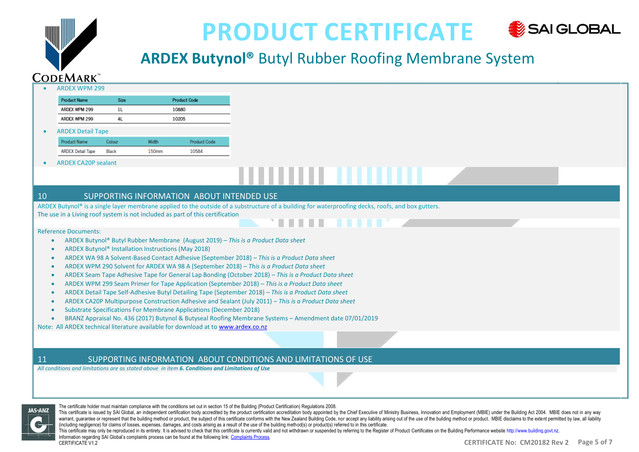

# **ARDEX Butynol®** Butyl Rubber Roofing Membrane System

|                              | <b>ARDEX WPM 299</b>        |                                                     |       |                                                                                                                                                                                                                                                            |                                                                                                                                                                                                                                                                                                                                                                                                                                                                                                                                                                                                                                                                                                                                                                                                                                                                                    |
|------------------------------|-----------------------------|-----------------------------------------------------|-------|------------------------------------------------------------------------------------------------------------------------------------------------------------------------------------------------------------------------------------------------------------|------------------------------------------------------------------------------------------------------------------------------------------------------------------------------------------------------------------------------------------------------------------------------------------------------------------------------------------------------------------------------------------------------------------------------------------------------------------------------------------------------------------------------------------------------------------------------------------------------------------------------------------------------------------------------------------------------------------------------------------------------------------------------------------------------------------------------------------------------------------------------------|
|                              | <b>Product Name</b>         | Size                                                |       | <b>Product Code</b>                                                                                                                                                                                                                                        |                                                                                                                                                                                                                                                                                                                                                                                                                                                                                                                                                                                                                                                                                                                                                                                                                                                                                    |
|                              | ARDEX WPM 299               | 1L                                                  |       | 10880                                                                                                                                                                                                                                                      |                                                                                                                                                                                                                                                                                                                                                                                                                                                                                                                                                                                                                                                                                                                                                                                                                                                                                    |
|                              | ARDEX WPM 299               | 4L                                                  |       | 10205                                                                                                                                                                                                                                                      |                                                                                                                                                                                                                                                                                                                                                                                                                                                                                                                                                                                                                                                                                                                                                                                                                                                                                    |
|                              | <b>ARDEX Detail Tape</b>    |                                                     |       |                                                                                                                                                                                                                                                            |                                                                                                                                                                                                                                                                                                                                                                                                                                                                                                                                                                                                                                                                                                                                                                                                                                                                                    |
|                              | <b>Product Name</b>         | Colour                                              | Width | <b>Product Code</b>                                                                                                                                                                                                                                        |                                                                                                                                                                                                                                                                                                                                                                                                                                                                                                                                                                                                                                                                                                                                                                                                                                                                                    |
|                              | <b>ARDEX Detail Tape</b>    | Black                                               | 150mm | 10584                                                                                                                                                                                                                                                      |                                                                                                                                                                                                                                                                                                                                                                                                                                                                                                                                                                                                                                                                                                                                                                                                                                                                                    |
|                              | <b>ARDEX CA20P sealant</b>  |                                                     |       |                                                                                                                                                                                                                                                            |                                                                                                                                                                                                                                                                                                                                                                                                                                                                                                                                                                                                                                                                                                                                                                                                                                                                                    |
|                              |                             |                                                     |       |                                                                                                                                                                                                                                                            | ,,,,,,,,,,,,,,,,                                                                                                                                                                                                                                                                                                                                                                                                                                                                                                                                                                                                                                                                                                                                                                                                                                                                   |
| 10                           |                             |                                                     |       | SUPPORTING INFORMATION ABOUT INTENDED USE                                                                                                                                                                                                                  |                                                                                                                                                                                                                                                                                                                                                                                                                                                                                                                                                                                                                                                                                                                                                                                                                                                                                    |
|                              |                             |                                                     |       |                                                                                                                                                                                                                                                            | ARDEX Butynol® is a single layer membrane applied to the outside of a substructure of a building for waterproofing decks, roofs, and box gutters.                                                                                                                                                                                                                                                                                                                                                                                                                                                                                                                                                                                                                                                                                                                                  |
|                              |                             |                                                     |       | The use in a Living roof system is not included as part of this certification                                                                                                                                                                              | .                                                                                                                                                                                                                                                                                                                                                                                                                                                                                                                                                                                                                                                                                                                                                                                                                                                                                  |
| $\bullet$<br>$\bullet$<br>11 | <b>Reference Documents:</b> | ARDEX Butynol® Installation Instructions (May 2018) |       | Substrate Specifications For Membrane Applications (December 2018)<br>Note: All ARDEX technical literature available for download at to www.ardex.co.nz<br>All conditions and limitations are as stated above in item 6. Conditions and Limitations of Use | ARDEX Butynol® Butyl Rubber Membrane (August 2019) - This is a Product Data sheet<br>ARDEX WA 98 A Solvent-Based Contact Adhesive (September 2018) - This is a Product Data sheet<br>ARDEX WPM 290 Solvent for ARDEX WA 98 A (September 2018) - This is a Product Data sheet<br>ARDEX Seam Tape Adhesive Tape for General Lap Bonding (October 2018) - This is a Product Data sheet<br>ARDEX WPM 299 Seam Primer for Tape Application (September 2018) - This is a Product Data sheet<br>ARDEX Detail Tape Self-Adhesive Butyl Detailing Tape (September 2018) - This is a Product Data sheet<br>ARDEX CA20P Multipurpose Construction Adhesive and Sealant (July 2011) - This is a Product Data sheet<br>BRANZ Appraisal No. 436 (2017) Butynol & Butyseal Roofing Membrane Systems - Amendment date 07/01/2019<br>SUPPORTING INFORMATION ABOUT CONDITIONS AND LIMITATIONS OF USE |



The certificate holder must maintain compliance with the conditions set out in section 15 of the Building (Product Certification) Regulations 2008.

This certificate is issued by SAI Global, an independent certification body accredited by the product certification accreditation accreditation body appointed by the Chief Executive of Ministry Business, Innovation and Emp warrant, guarantee or represent that the building method or product, the subject of this certificate conforms with the New Zealand Building Code, nor accept any liability arising out of the use of the building method or pr (including negligence) for claims of losses, expenses, damages, and costs arising as a result of the use of the building method(s) or product(s) referred to in this certificate.

This certificate may only be reproduced in its entirety. It is advised to check that this certificate is currently valid and not withdrawn or suspended by referring to the Register of Product Certificates on the Building P Information regarding SAI Global's complaints process can be found at the following link: Complaints Process. CERTIFICATE V1.2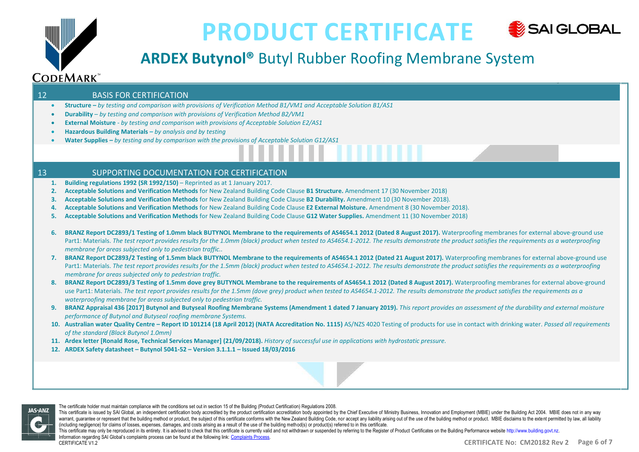

# **ARDEX Butynol®** Butyl Rubber Roofing Membrane System

#### 12 BASIS FOR CERTIFICATION

- **Structure –** *by testing and comparison with provisions of Verification Method B1/VM1 and Acceptable Solution B1/AS1*
- **Durability**  *by testing and comparison with provisions of Verification Method B2/VM1*
- **External Moisture** *by testing and comparison with provisions of Acceptable Solution E2/AS1*
- **Hazardous Building Materials –** *by analysis and by testing*
- **Water Supplies –** *by testing and by comparison with the provisions of Acceptable Solution G12/AS1*

#### 13 SUPPORTING DOCUMENTATION FOR CERTIFICATION

- **1. Building regulations 1992 (SR 1992/150)**  Reprinted as at 1 January 2017.
- **2. Acceptable Solutions and Verification Methods** for New Zealand Building Code Clause **B1 Structure.** Amendment 17 (30 November 2018)
- **3. Acceptable Solutions and Verification Methods** for New Zealand Building Code Clause **B2 Durability.** Amendment 10 (30 November 2018).
- **4. Acceptable Solutions and Verification Methods** for New Zealand Building Code Clause **E2 External Moisture.** Amendment 8 (30 November 2018).
- **5. Acceptable Solutions and Verification Methods** for New Zealand Building Code Clause **G12 Water Supplies.** Amendment 11 (30 November 2018)
- **6. BRANZ Report DC2893/1 Testing of 1.0mm black BUTYNOL Membrane to the requirements of AS4654.1 2012 (Dated 8 August 2017).** Waterproofing membranes for external above-ground use Part1: Materials. The test report provides results for the 1.0mm (black) product when tested to AS4654.1-2012. The results demonstrate the product satisfies the requirements as a waterproofing *membrane for areas subjected only to pedestrian traffic..*
- **7. BRANZ Report DC2893/2 Testing of 1.5mm black BUTYNOL Membrane to the requirements of AS4654.1 2012 (Dated 21 August 2017).** Waterproofing membranes for external above-ground use Part1: Materials. *The test report provides results for the 1.5mm (black) product when tested to AS4654.1-2012. The results demonstrate the product satisfies the requirements as a waterproofing membrane for areas subjected only to pedestrian traffic.*
- **8. BRANZ Report DC2893/3 Testing of 1.5mm dove grey BUTYNOL Membrane to the requirements of AS4654.1 2012 (Dated 8 August 2017).** Waterproofing membranes for external above-ground use Part1: Materials. *The test report provides results for the 1.5mm (dove grey) product when tested to AS4654.1-2012. The results demonstrate the product satisfies the requirements as a waterproofing membrane for areas subjected only to pedestrian traffic.*
- **9. BRANZ Appraisal 436 [2017] Butynol and Butyseal Roofing Membrane Systems (Amendment 1 dated 7 January 2019).** *This report provides an assessment of the durability and external moisture performance of Butynol and Butyseal roofing membrane Systems.*
- 10. Australian water Quality Centre Report ID 101214 (18 April 2012) (NATA Accreditation No. 1115) AS/NZS 4020 Testing of products for use in contact with drinking water. Passed all requirements *of the standard (Black Butynol 1.0mm)*
- **11. Ardex letter [Ronald Rose, Technical Services Manager] (21/09/2018).** *History of successful use in applications with hydrostatic pressure.*
- **12. ARDEX Safety datasheet – Butynol 5041-52 – Version 3.1.1.1 – Issued 18/03/2016**



The certificate holder must maintain compliance with the conditions set out in section 15 of the Building (Product Certification) Regulations 2008.

This certificate is issued by SAI Global, an independent certification body accredited by the product certification accreditation accreditation body appointed by the Chief Executive of Ministry Business, Innovation and Emp warrant, guarantee or represent that the building method or product, the subject of this certificate conforms with the New Zealand Building Code, nor accept any liability arising out of the use of the building method or pr (including negligence) for claims of losses, expenses, damages, and costs arising as a result of the use of the building method(s) or product(s) referred to in this certificate.

This certificate may only be reproduced in its entirety. It is advised to check that this certificate is currently valid and not withdrawn or suspended by referring to the Register of Product Certificates on the Ruilding P Information regarding SAI Global's complaints process can be found at the following link: Complaints Process. CERTIFICATE V1.2